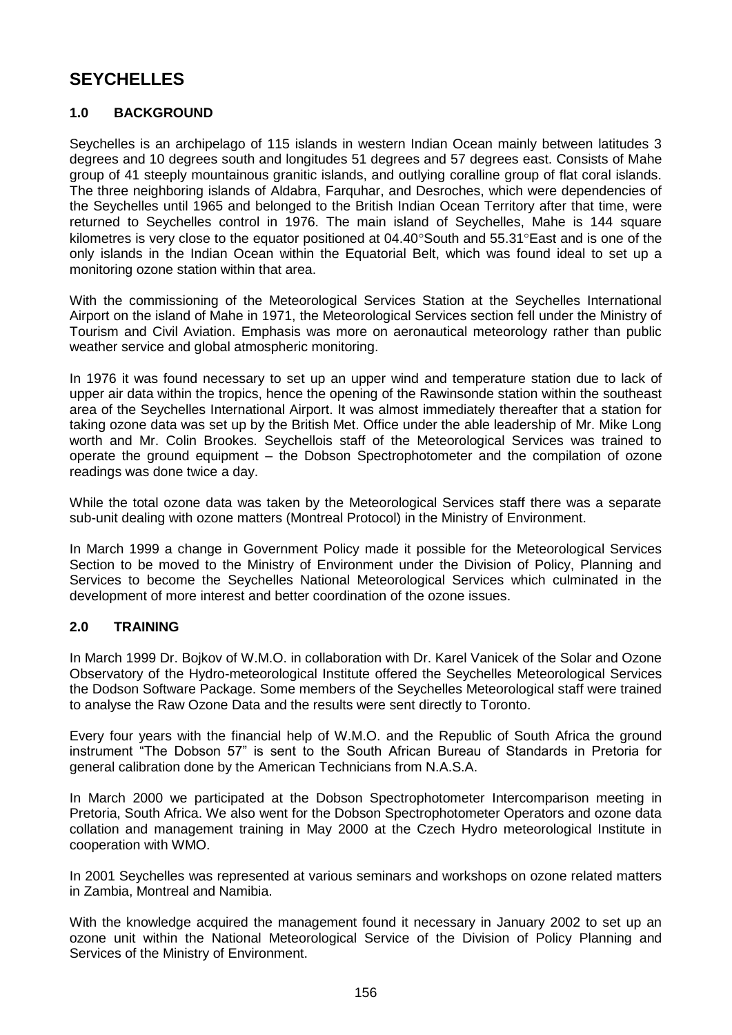# **SEYCHELLES**

# **1.0 BACKGROUND**

Seychelles is an archipelago of 115 islands in western Indian Ocean mainly between latitudes 3 degrees and 10 degrees south and longitudes 51 degrees and 57 degrees east. Consists of Mahe group of 41 steeply mountainous granitic islands, and outlying coralline group of flat coral islands. The three neighboring islands of Aldabra, Farquhar, and Desroches, which were dependencies of the Seychelles until 1965 and belonged to the British Indian Ocean Territory after that time, were returned to Seychelles control in 1976. The main island of Seychelles, Mahe is 144 square kilometres is very close to the equator positioned at  $04.40^{\circ}$ South and  $55.31^{\circ}$ East and is one of the only islands in the Indian Ocean within the Equatorial Belt, which was found ideal to set up a monitoring ozone station within that area.

With the commissioning of the Meteorological Services Station at the Seychelles International Airport on the island of Mahe in 1971, the Meteorological Services section fell under the Ministry of Tourism and Civil Aviation. Emphasis was more on aeronautical meteorology rather than public weather service and global atmospheric monitoring.

In 1976 it was found necessary to set up an upper wind and temperature station due to lack of upper air data within the tropics, hence the opening of the Rawinsonde station within the southeast area of the Seychelles International Airport. It was almost immediately thereafter that a station for taking ozone data was set up by the British Met. Office under the able leadership of Mr. Mike Long worth and Mr. Colin Brookes. Seychellois staff of the Meteorological Services was trained to operate the ground equipment – the Dobson Spectrophotometer and the compilation of ozone readings was done twice a day.

While the total ozone data was taken by the Meteorological Services staff there was a separate sub-unit dealing with ozone matters (Montreal Protocol) in the Ministry of Environment.

In March 1999 a change in Government Policy made it possible for the Meteorological Services Section to be moved to the Ministry of Environment under the Division of Policy, Planning and Services to become the Seychelles National Meteorological Services which culminated in the development of more interest and better coordination of the ozone issues.

# **2.0 TRAINING**

In March 1999 Dr. Bojkov of W.M.O. in collaboration with Dr. Karel Vanicek of the Solar and Ozone Observatory of the Hydro-meteorological Institute offered the Seychelles Meteorological Services the Dodson Software Package. Some members of the Seychelles Meteorological staff were trained to analyse the Raw Ozone Data and the results were sent directly to Toronto.

Every four years with the financial help of W.M.O. and the Republic of South Africa the ground instrument "The Dobson 57" is sent to the South African Bureau of Standards in Pretoria for general calibration done by the American Technicians from N.A.S.A.

In March 2000 we participated at the Dobson Spectrophotometer Intercomparison meeting in Pretoria, South Africa. We also went for the Dobson Spectrophotometer Operators and ozone data collation and management training in May 2000 at the Czech Hydro meteorological Institute in cooperation with WMO.

In 2001 Seychelles was represented at various seminars and workshops on ozone related matters in Zambia, Montreal and Namibia.

With the knowledge acquired the management found it necessary in January 2002 to set up an ozone unit within the National Meteorological Service of the Division of Policy Planning and Services of the Ministry of Environment.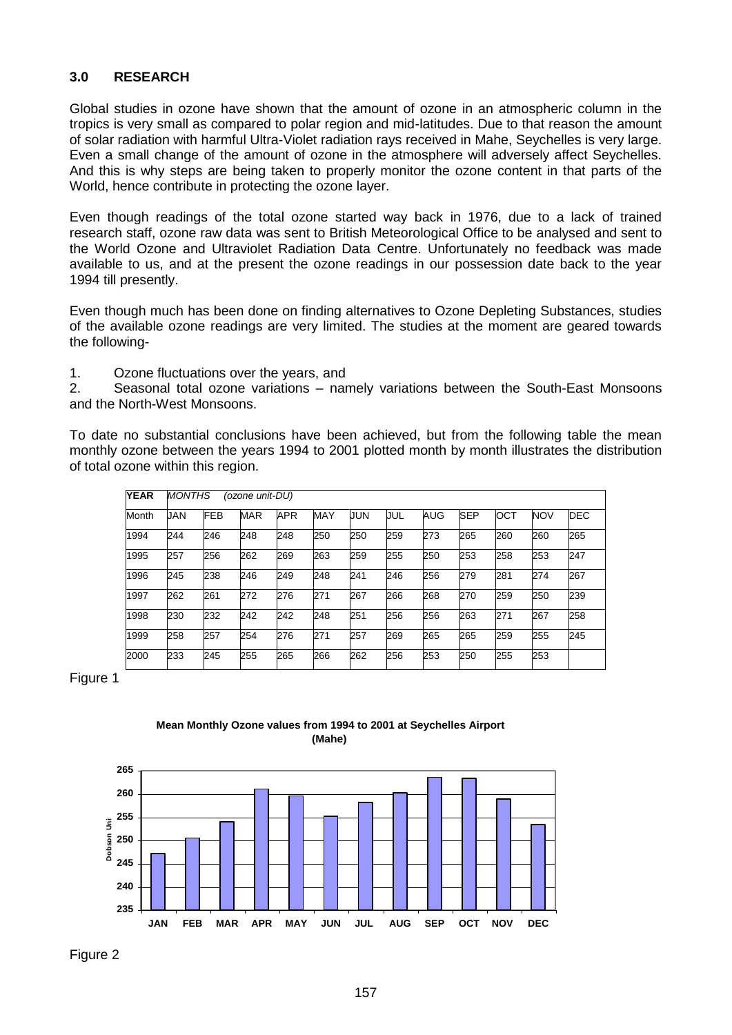### **3.0 RESEARCH**

Global studies in ozone have shown that the amount of ozone in an atmospheric column in the tropics is very small as compared to polar region and mid-latitudes. Due to that reason the amount of solar radiation with harmful Ultra-Violet radiation rays received in Mahe, Seychelles is very large. Even a small change of the amount of ozone in the atmosphere will adversely affect Seychelles. And this is why steps are being taken to properly monitor the ozone content in that parts of the World, hence contribute in protecting the ozone layer.

Even though readings of the total ozone started way back in 1976, due to a lack of trained research staff, ozone raw data was sent to British Meteorological Office to be analysed and sent to the World Ozone and Ultraviolet Radiation Data Centre. Unfortunately no feedback was made available to us, and at the present the ozone readings in our possession date back to the year 1994 till presently.

Even though much has been done on finding alternatives to Ozone Depleting Substances, studies of the available ozone readings are very limited. The studies at the moment are geared towards the following-

1. Ozone fluctuations over the years, and

2. Seasonal total ozone variations – namely variations between the South-East Monsoons and the North-West Monsoons.

To date no substantial conclusions have been achieved, but from the following table the mean monthly ozone between the years 1994 to 2001 plotted month by month illustrates the distribution of total ozone within this region.

| <b>YEAR</b> | <b>MONTHS</b><br>(ozone unit-DU) |            |            |            |            |            |     |     |            |     |            |            |
|-------------|----------------------------------|------------|------------|------------|------------|------------|-----|-----|------------|-----|------------|------------|
| Month       | <b>JAN</b>                       | <b>FEB</b> | <b>MAR</b> | <b>APR</b> | <b>MAY</b> | <b>JUN</b> | uul | AUG | <b>SEP</b> | OCT | <b>NOV</b> | <b>DEC</b> |
| 1994        | 244                              | 246        | 248        | 248        | 250        | 250        | 259 | 273 | 265        | 260 | 260        | 265        |
| 1995        | 257                              | 256        | 262        | 269        | 263        | 259        | 255 | 250 | 253        | 258 | 253        | 247        |
| 1996        | 245                              | 238        | 246        | 249        | 248        | 241        | 246 | 256 | 279        | 281 | 274        | 267        |
| 1997        | 262                              | 261        | 272        | 276        | 271        | 267        | 266 | 268 | 270        | 259 | 250        | 239        |
| 1998        | 230                              | 232        | 242        | 242        | 248        | 251        | 256 | 256 | 263        | 271 | 267        | 258        |
| 1999        | 258                              | 257        | 254        | 276        | 271        | 257        | 269 | 265 | 265        | 259 | 255        | 245        |
| 2000        | 233                              | 245        | 255        | 265        | 266        | 262        | 256 | 253 | 250        | 255 | 253        |            |

Figure 1